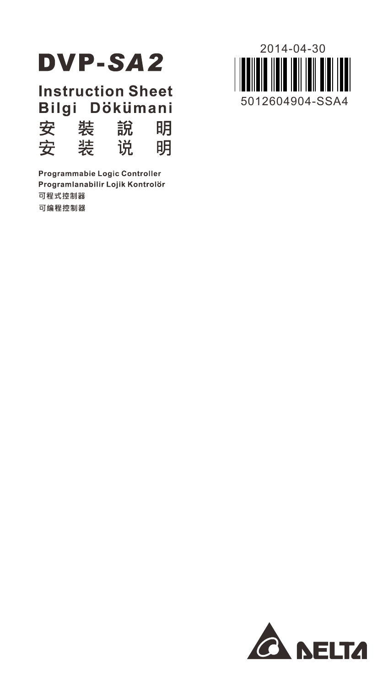

**Instruction Sheet** Bilgi Dökümani 裝 安 說 明 安 装 说. 明

Programmabie Logic Controller Programlanabilir Lojik Kontrolör 可程式控制器 可编程控制器



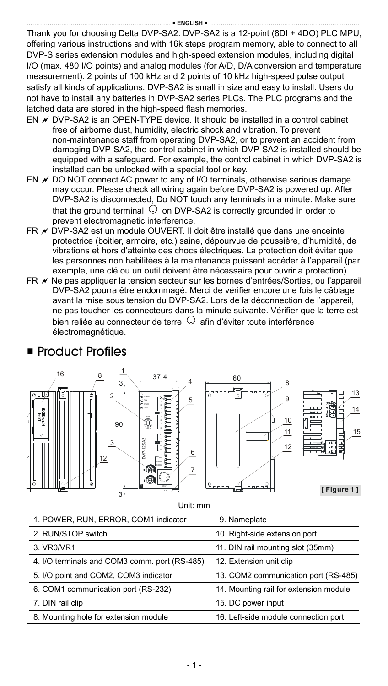Thank you for choosing Delta DVP-SA2. DVP-SA2 is a 12-point (8DI + 4DO) PLC MPU, offering various instructions and with 16k steps program memory, able to connect to all DVP-S series extension modules and high-speed extension modules, including digital I/O (max. 480 I/O points) and analog modules (for A/D, D/A conversion and temperature measurement). 2 points of 100 kHz and 2 points of 10 kHz high-speed pulse output satisfy all kinds of applications. DVP-SA2 is small in size and easy to install. Users do not have to install any batteries in DVP-SA2 series PLCs. The PLC programs and the latched data are stored in the high-speed flash memories.

- EN  $\overline{\prime}$  DVP-SA2 is an OPEN-TYPE device. It should be installed in a control cabinet free of airborne dust, humidity, electric shock and vibration. To prevent non-maintenance staff from operating DVP-SA2, or to prevent an accident from damaging DVP-SA2, the control cabinet in which DVP-SA2 is installed should be equipped with a safeguard. For example, the control cabinet in which DVP-SA2 is installed can be unlocked with a special tool or key.
- EN  $\not\!\equiv$  DO NOT connect AC power to any of I/O terminals, otherwise serious damage may occur. Please check all wiring again before DVP-SA2 is powered up. After DVP-SA2 is disconnected, Do NOT touch any terminals in a minute. Make sure that the ground terminal  $\bigoplus$  on DVP-SA2 is correctly grounded in order to prevent electromagnetic interference.
- FR ★ DVP-SA2 est un module OUVERT. Il doit être installé que dans une enceinte protectrice (boitier, armoire, etc.) saine, dépourvue de poussière, d'humidité, de vibrations et hors d'atteinte des chocs électriques. La protection doit éviter que les personnes non habilitées à la maintenance puissent accéder à l'appareil (par exemple, une clé ou un outil doivent être nécessaire pour ouvrir a protection).
- FR Ne pas appliquer la tension secteur sur les bornes d'entrées/Sorties, ou l'appareil DVP-SA2 pourra être endommagé. Merci de vérifier encore une fois le câblage avant la mise sous tension du DVP-SA2. Lors de la déconnection de l'appareil, ne pas toucher les connecteurs dans la minute suivante. Vérifier que la terre est bien reliée au connecteur de terre  $\bigoplus$  afin d'éviter toute interférence électromagnétique.







13

14

15

Unit: mm

| 1. POWER, RUN, ERROR, COM1 indicator          | 9. Nameplate                           |
|-----------------------------------------------|----------------------------------------|
| 2. RUN/STOP switch                            | 10. Right-side extension port          |
| 3. VR0/VR1                                    | 11. DIN rail mounting slot (35mm)      |
| 4. I/O terminals and COM3 comm. port (RS-485) | 12. Extension unit clip                |
| 5. I/O point and COM2, COM3 indicator         | 13. COM2 communication port (RS-485)   |
| 6. COM1 communication port (RS-232)           | 14. Mounting rail for extension module |
| 7. DIN rail clip                              | 15. DC power input                     |
| 8. Mounting hole for extension module         | 16. Left-side module connection port   |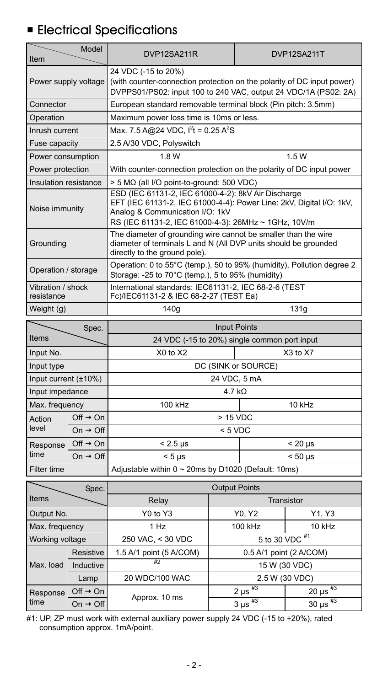# **Electrical Specifications**

| Item                                                                                                                                               | Model                | DVP12SA211R<br>DVP12SA211T                                                                                                                                                                                             |                            |  |  |
|----------------------------------------------------------------------------------------------------------------------------------------------------|----------------------|------------------------------------------------------------------------------------------------------------------------------------------------------------------------------------------------------------------------|----------------------------|--|--|
| Power supply voltage                                                                                                                               |                      | 24 VDC (-15 to 20%)<br>(with counter-connection protection on the polarity of DC input power)<br>DVPPS01/PS02: input 100 to 240 VAC, output 24 VDC/1A (PS02: 2A)                                                       |                            |  |  |
| Connector                                                                                                                                          |                      | European standard removable terminal block (Pin pitch: 3.5mm)                                                                                                                                                          |                            |  |  |
| Operation                                                                                                                                          |                      | Maximum power loss time is 10ms or less.                                                                                                                                                                               |                            |  |  |
| Inrush current                                                                                                                                     |                      | Max. 7.5 A@24 VDC. $I^{2}t = 0.25 A^{2}S$                                                                                                                                                                              |                            |  |  |
| Fuse capacity                                                                                                                                      |                      | 2.5 A/30 VDC, Polyswitch                                                                                                                                                                                               |                            |  |  |
| Power consumption                                                                                                                                  |                      | 1.8 W                                                                                                                                                                                                                  | 1.5W                       |  |  |
| Power protection                                                                                                                                   |                      | With counter-connection protection on the polarity of DC input power                                                                                                                                                   |                            |  |  |
| Insulation resistance                                                                                                                              |                      | $> 5$ M $\Omega$ (all I/O point-to-ground: 500 VDC)                                                                                                                                                                    |                            |  |  |
| Noise immunity                                                                                                                                     |                      | ESD (IEC 61131-2, IEC 61000-4-2); 8kV Air Discharge<br>EFT (IEC 61131-2, IEC 61000-4-4): Power Line: 2kV, Digital I/O: 1kV,<br>Analog & Communication I/O: 1kV<br>RS (IEC 61131-2, IEC 61000-4-3): 26MHz ~ 1GHz, 10V/m |                            |  |  |
| Groundina                                                                                                                                          |                      | The diameter of grounding wire cannot be smaller than the wire<br>diameter of terminals L and N (All DVP units should be grounded<br>directly to the ground pole).                                                     |                            |  |  |
| Operation: 0 to 55°C (temp.), 50 to 95% (humidity), Pollution degree 2<br>Operation / storage<br>Storage: -25 to 70°C (temp.), 5 to 95% (humidity) |                      |                                                                                                                                                                                                                        |                            |  |  |
| Vibration / shock<br>resistance                                                                                                                    |                      | International standards: IEC61131-2, IEC 68-2-6 (TEST<br>Fc)/IEC61131-2 & IEC 68-2-27 (TEST Ea)                                                                                                                        |                            |  |  |
| Weight (g)                                                                                                                                         |                      | 140g                                                                                                                                                                                                                   | 131q                       |  |  |
| Spec.                                                                                                                                              |                      | <b>Input Points</b>                                                                                                                                                                                                    |                            |  |  |
| Items                                                                                                                                              |                      | 24 VDC (-15 to 20%) single common port input                                                                                                                                                                           |                            |  |  |
| Input No.                                                                                                                                          |                      | X0 to X2                                                                                                                                                                                                               | $X3$ to $X7$               |  |  |
| Input type                                                                                                                                         |                      | DC (SINK or SOURCE)                                                                                                                                                                                                    |                            |  |  |
| Input current $(\pm 10\%)$                                                                                                                         |                      | 24 VDC, 5 mA                                                                                                                                                                                                           |                            |  |  |
| Input impedance                                                                                                                                    |                      | 4.7 $k\Omega$                                                                                                                                                                                                          |                            |  |  |
| Max. frequency                                                                                                                                     |                      | 100 kHz<br>10 kHz                                                                                                                                                                                                      |                            |  |  |
| Off $\rightarrow$ On<br>Action                                                                                                                     |                      | > 15 VDC                                                                                                                                                                                                               |                            |  |  |
| level                                                                                                                                              | On $\rightarrow$ Off | $< 5$ VDC                                                                                                                                                                                                              |                            |  |  |
| Response                                                                                                                                           | Off $\rightarrow$ On | $< 2.5 \text{ }\mu\text{s}$                                                                                                                                                                                            | $< 20 \mu s$               |  |  |
| time                                                                                                                                               | On $\rightarrow$ Off | $< 5 \mu s$                                                                                                                                                                                                            | $< 50 \text{ }\mu\text{s}$ |  |  |
| Filter time                                                                                                                                        |                      | Adjustable within 0 ~ 20ms by D1020 (Default: 10ms)                                                                                                                                                                    |                            |  |  |

|                 | Spec.                | <b>Output Points</b>    |                         |                          |
|-----------------|----------------------|-------------------------|-------------------------|--------------------------|
| Items           |                      | Relay                   |                         | Transistor               |
| Output No.      |                      | Y0 to Y3                | Y0, Y2                  | Y1, Y3                   |
| Max. frequency  |                      | 1 Hz                    | 100 kHz                 | 10 kHz                   |
| Working voltage |                      | 250 VAC, < 30 VDC       | 5 to 30 VDC #1          |                          |
|                 | Resistive            | 1.5 A/1 point (5 A/COM) |                         | 0.5 A/1 point (2 A/COM)  |
| Max. load       | Inductive            | #2                      |                         | 15 W (30 VDC)            |
| Lamp            |                      | 20 WDC/100 WAC          | 2.5 W (30 VDC)          |                          |
| Response        | $Off \rightarrow On$ | Approx. 10 ms           | 2 µs $\overline{^{43}}$ | 20 µs $^{#3}$            |
| time            | On $\rightarrow$ Off |                         | $3 \mu s$ <sup>#3</sup> | 30 $\mu s$ <sup>#3</sup> |

#1: UP, ZP must work with external auxiliary power supply 24 VDC (-15 to +20%), rated consumption approx. 1mA/point.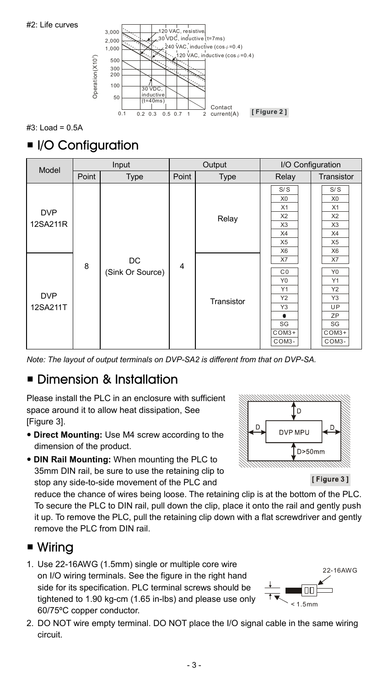



#3: Load = 0.5A

## I/O Configuration

| Model                  |       | Input                  |                | Output     |                                                                                                           | I/O Configuration                                                                             |
|------------------------|-------|------------------------|----------------|------------|-----------------------------------------------------------------------------------------------------------|-----------------------------------------------------------------------------------------------|
|                        | Point | Type                   | Point          | Type       | Relay                                                                                                     | Transistor                                                                                    |
| <b>DVP</b><br>12SA211R |       |                        |                | Relay      | S/S<br>X <sub>0</sub><br>X1<br>X <sub>2</sub><br>X <sub>3</sub><br>X4<br>X <sub>5</sub><br>X <sub>6</sub> | S/S<br>X <sub>0</sub><br>X1<br>X <sub>2</sub><br>X3<br>X4<br>X <sub>5</sub><br>X <sub>6</sub> |
| <b>DVP</b><br>12SA211T | 8     | DC<br>(Sink Or Source) | $\overline{4}$ | Transistor | X7<br>C <sub>0</sub><br>Y <sub>0</sub><br>Y1<br>Y2<br>Y3<br>٠<br>SG<br>COM3+<br>COM3-                     | X7<br>Y <sub>0</sub><br>Y1<br>Y2<br>Y3<br>UP<br>ZP<br>SG<br>COM3+<br>COM3-                    |

*Note: The layout of output terminals on DVP-SA2 is different from that on DVP-SA.*

## **Dimension & Installation**

Please install the PLC in an enclosure with sufficient space around it to allow heat dissipation, See [Figure 3].

- **Direct Mounting:** Use M4 screw according to the dimension of the product.
- **DIN Rail Mounting:** When mounting the PLC to 35mm DIN rail, be sure to use the retaining clip to stop any side-to-side movement of the PLC and

reduce the chance of wires being loose. The retaining clip is at the bottom of the PLC. To secure the PLC to DIN rail, pull down the clip, place it onto the rail and gently push it up. To remove the PLC, pull the retaining clip down with a flat screwdriver and gently remove the PLC from DIN rail.

## ■ Wiring

- 1. Use 22-16AWG (1.5mm) single or multiple core wire on I/O wiring terminals. See the figure in the right hand side for its specification. PLC terminal screws should be tightened to 1.90 kg-cm (1.65 in-lbs) and please use only 60/75ºC copper conductor.
- 22-16AWG  $< 1.5$ mm
- 2. DO NOT wire empty terminal. DO NOT place the I/O signal cable in the same wiring circuit.



[Figure 3]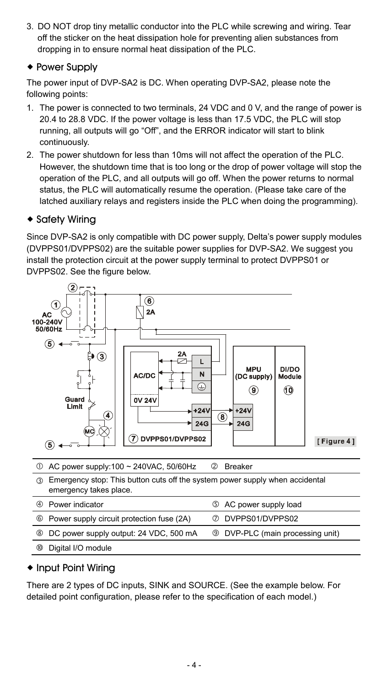3. DO NOT drop tiny metallic conductor into the PLC while screwing and wiring. Tear off the sticker on the heat dissipation hole for preventing alien substances from dropping in to ensure normal heat dissipation of the PLC.

### **+ Power Supply**

The power input of DVP-SA2 is DC. When operating DVP-SA2, please note the following points:

- 1. The power is connected to two terminals, 24 VDC and 0 V, and the range of power is 20.4 to 28.8 VDC. If the power voltage is less than 17.5 VDC, the PLC will stop running, all outputs will go "Off", and the ERROR indicator will start to blink continuously.
- 2. The power shutdown for less than 10ms will not affect the operation of the PLC. However, the shutdown time that is too long or the drop of power voltage will stop the operation of the PLC, and all outputs will go off. When the power returns to normal status, the PLC will automatically resume the operation. (Please take care of the latched auxiliary relays and registers inside the PLC when doing the programming).

### ◆ Safety Wirina

Since DVP-SA2 is only compatible with DC power supply, Delta's power supply modules (DVPPS01/DVPPS02) are the suitable power supplies for DVP-SA2. We suggest you install the protection circuit at the power supply terminal to protect DVPPS01 or DVPPS02. See the figure below.



## ◆ Input Point Wiring

There are 2 types of DC inputs, SINK and SOURCE. (See the example below. For detailed point configuration, please refer to the specification of each model.)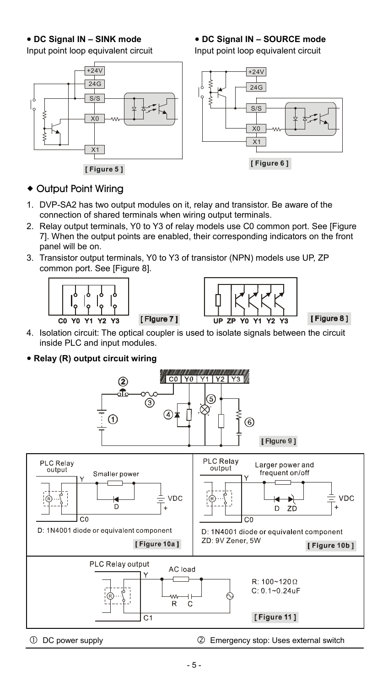### **DC Signal IN – SINK mode**

Input point loop equivalent circuit



**[ Figure 5 ]**

### **DC Signal IN – SOURCE mode**

Input point loop equivalent circuit



## Output Point Wiring

- 1. DVP-SA2 has two output modules on it, relay and transistor. Be aware of the connection of shared terminals when wiring output terminals.
- 2. Relay output terminals, Y0 to Y3 of relay models use C0 common port. See [Figure 7]. When the output points are enabled, their corresponding indicators on the front panel will be on.
- 3. Transistor output terminals, Y0 to Y3 of transistor (NPN) models use UP, ZP common port. See [Figure 8].



4. Isolation circuit: The optical coupler is used to isolate signals between the circuit inside PLC and input modules.

 **Relay (R) output circuit wiring** 

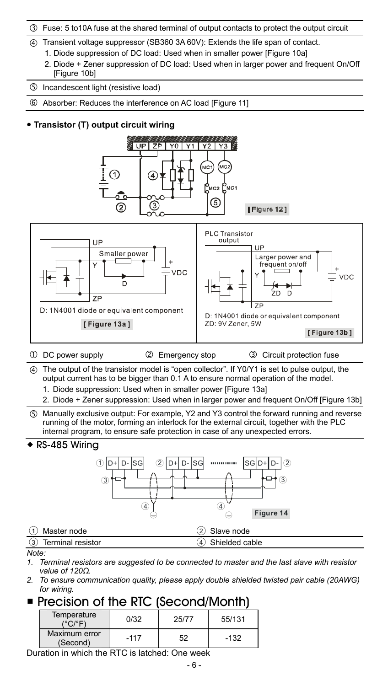- Fuse: 5 to10A fuse at the shared terminal of output contacts to protect the output circuit
- Transient voltage suppressor (SB360 3A 60V): Extends the life span of contact.
	- 1. Diode suppression of DC load: Used when in smaller power [Figure 10a]
	- 2. Diode + Zener suppression of DC load: Used when in larger power and frequent On/Off [Figure 10b]
- Incandescent light (resistive load)
- Absorber: Reduces the interference on AC load [Figure 11]

### **Transistor (T) output circuit wiring**



- *1. Terminal resistors are suggested to be connected to master and the last slave with resistor value of 120Ω.*
- *2. To ensure communication quality, please apply double shielded twisted pair cable (20AWG) for wiring.*

## Precision of the RTC (Second/Month)

| Temperature<br>/°C/°E'    | ก/32   | 25/77 | 55/131 |
|---------------------------|--------|-------|--------|
| Maximum error<br>(Second) | $-117$ | 52    | $-132$ |

Duration in which the RTC is latched: One week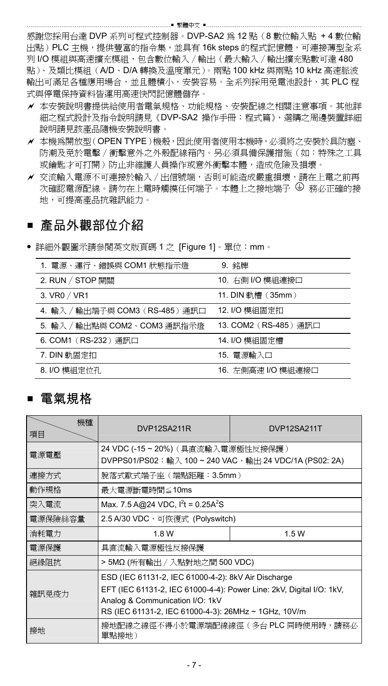感謝您採用台達 DVP 系列可程式控制器。DVP-SA2 為 12 點(8 數位輸入點 + 4 數位輸 出點)PLC 主機,提供豐富的指令集,並具有 16k steps 的程式記憶體,可連接薄型全系 列 I/O 模組與高速擴充模組,包含數位輸入∕輸出(最大輸入∕輸出擴充點數可達 480 點)、及類比模組(A/D、D/A 轉換及溫度單元)。兩點 100 kHz 與兩點 10 kHz 高速脈波 輸出可滿足各種應用場合,並且體積小,安裝容易。全系列採用免電池設計,其 PLC 程 式與停雷保持資料皆運用高速快閃記憶體儲存。

- 本安裝說明書提供給使用者電氣規格、功能規格、安裝配線之相關注意事項。其他詳 細之程式設計及指令說明請見《DVP-SA2 操作手冊:程式篇》,選購之周邊裝置詳細 說明請見該產品隨機安裝說明書。
- 本機為開放型(OPEN TYPE)機殼,因此使用者使用本機時,必須將之安裝於具防塵、 防潮及免於電擊∕衝擊意外之外殼配線箱內。另必須具備保護措施(如:特殊之工具 或鑰匙才可打開)防止非維護人員操作或意外衝擊本體,造成危險及損壞。
- 交流輸入電源不可連接於輸入∕出信號端,否則可能造成嚴重損壞,請在上電之前再 次確認電源配線。請勿在上電時觸摸任何端子。本體上之接地端子  $\Theta$  務必正確的接 地,可提高產品抗雜訊能力。

## ■ 產品外觀部位介紹

詳細外觀圖示請參閱英文版頁碼 1 之 [Figure 1]。單位:mm。

| 1. 電源、運行、錯誤與 COM1 狀態指示燈         | 9. 銘牌                 |
|---------------------------------|-----------------------|
| 2. RUN / STOP 開關                | 10. 右側 I/O 模組連接口      |
| 3. VR0 / VR1                    | 11. DIN 軌槽 (35mm)     |
| 4. 輸入 / 輸出端子與 COM3 (RS-485) 通訊口 | 12. I/O 模組固定扣         |
| 5. 輸入 / 輸出點與 COM2、COM3 通訊指示燈    | 13. COM2 (RS-485) 通訊口 |
| 6. COM1 (RS-232) 通訊口            | 14. I/O 模組固定槽         |
| 7. DIN 軌固定扣                     | 15. 雷源輸入口             |
| 8. I/O 模組定位孔                    | 16. 左側高速 I/O 模組連接口    |

## ■ 電氣規格

| 機種<br>項目 | DVP12SA211R<br>DVP12SA211T                                                                                                                                                                                             |                                     |  |  |  |
|----------|------------------------------------------------------------------------------------------------------------------------------------------------------------------------------------------------------------------------|-------------------------------------|--|--|--|
| 電源電壓     | 24 VDC (-15 ~ 20%) ( 具直流輸入電源極性反接保護 )<br>DVPPS01/PS02:輸入 100~240 VAC,輸出 24 VDC/1A (PS02: 2A)                                                                                                                            |                                     |  |  |  |
| 連接方式     | 脫落式歐式端子座(端點距離:3.5mm)                                                                                                                                                                                                   |                                     |  |  |  |
| 動作規格     | 最大電源斷電時間≦10ms                                                                                                                                                                                                          |                                     |  |  |  |
| 突入電流     | Max. 7.5 A@24 VDC, $I^2t = 0.25A^2S$                                                                                                                                                                                   |                                     |  |  |  |
| 電源保險絲容量  | 2.5 A/30 VDC,可恢復式 (Polyswitch)                                                                                                                                                                                         |                                     |  |  |  |
| 消耗電力     | 1.8 W<br>1.5W                                                                                                                                                                                                          |                                     |  |  |  |
| 電源保護     | 具直流輸入電源極性反接保護                                                                                                                                                                                                          |                                     |  |  |  |
| 絕緣阻抗     | > 5MΩ (所有輸出 / 入點對地之間 500 VDC)                                                                                                                                                                                          |                                     |  |  |  |
| 雜訊免疫力    | ESD (IEC 61131-2, IEC 61000-4-2): 8kV Air Discharge<br>EFT (IEC 61131-2, IEC 61000-4-4): Power Line: 2kV, Digital I/O: 1kV,<br>Analog & Communication I/O: 1kV<br>RS (IEC 61131-2, IEC 61000-4-3): 26MHz ~ 1GHz, 10V/m |                                     |  |  |  |
| 接地       | 單點接地)                                                                                                                                                                                                                  | 接地配線之線徑不得小於電源端配線線徑(多台 PLC 同時使用時,請務必 |  |  |  |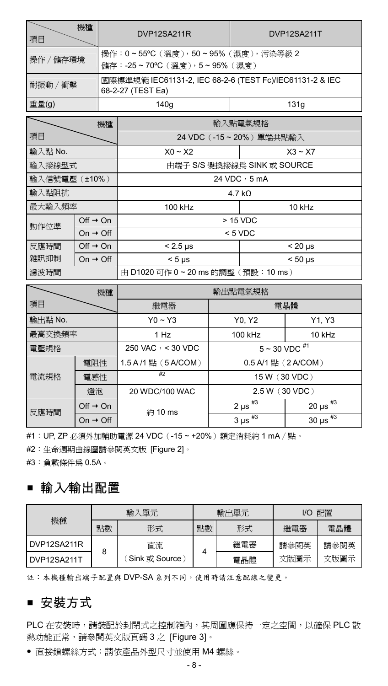| 項目                                        | 機種                   |                                                                               | DVP12SA211R                 | DVP12SA211T                |  |
|-------------------------------------------|----------------------|-------------------------------------------------------------------------------|-----------------------------|----------------------------|--|
| 操作 / 儲存環境                                 |                      | 操作:0~55°C (溫度), 50~95% (濕度), 污染等級 2<br>儲存:-25~70°C (溫度), 5~95% (濕度)           |                             |                            |  |
| 耐振動 / 衝擊                                  |                      | 國際標準規範 IEC61131-2, IEC 68-2-6 (TEST Fc)/IEC61131-2 & IEC<br>68-2-27 (TEST Ea) |                             |                            |  |
| 重量(g)                                     |                      |                                                                               | 140g                        | 131q                       |  |
| 機種                                        |                      |                                                                               | 輸入點雷氣規格                     |                            |  |
| 項目                                        |                      |                                                                               | 24 VDC (-15~20%) 單端共點輸入     |                            |  |
| 輸入點 No.                                   |                      |                                                                               | $X0 - X2$                   | $X3 \sim X7$               |  |
| 由端子 S/S 變換接線為 SINK 或 SOURCE<br>輸入接線型式     |                      |                                                                               |                             |                            |  |
| 輸入信號電壓(±10%)                              |                      |                                                                               |                             | 24 VDC, 5 mA               |  |
| 輸入點阻抗                                     |                      |                                                                               |                             | $4.7 k\Omega$              |  |
| 最大輸入頻率                                    |                      |                                                                               | 100 kHz                     | 10 kHz                     |  |
| Off $\rightarrow$ On<br>動作位準              |                      |                                                                               | $> 15$ VDC                  |                            |  |
| On $\rightarrow$ Off                      |                      |                                                                               | $< 5$ VDC                   |                            |  |
| 反應時間                                      | Off $\rightarrow$ On |                                                                               | $< 2.5 \text{ }\mu\text{s}$ | $< 20 \mu s$               |  |
| 雜訊抑制                                      | On $\rightarrow$ Off |                                                                               | $< 5 \mu s$                 | $< 50 \text{ }\mu\text{s}$ |  |
| 由 D1020 可作 0~20 ms 的調整 (預設:10 ms)<br>濾波時間 |                      |                                                                               |                             |                            |  |

|         | 機種                   | 輸出點電氣規格                  |                         |                             |
|---------|----------------------|--------------------------|-------------------------|-----------------------------|
| 項目      |                      | 繼電器                      | 電晶體                     |                             |
| 輸出點 No. |                      | $Y0 - Y3$                | Y0, Y2                  | Y1, Y3                      |
| 最高交換頻率  |                      | 1 Hz                     | 100 kHz                 | 10 kHz                      |
| 電壓規格    |                      | 250 VAC $\cdot$ < 30 VDC | $5 - 30$ VDC $^{#1}$    |                             |
|         | 電阻性                  | 1.5 A /1 點 (5 A/COM)     | 0.5 A/1 點 (2 A/COM)     |                             |
| 電流規格    | 電感性                  | #2                       | 15 W (30 VDC)           |                             |
| 燈泡      |                      | 20 WDC/100 WAC           | 2.5 W (30 VDC)          |                             |
| 反應時間    | Off $\rightarrow$ On | 約10 ms                   | $2 \mu s$ <sup>#3</sup> | $20 \text{ }\mu\text{s}$ #3 |
|         | On $\rightarrow$ Off |                          | $3 \mu s$ <sup>#3</sup> | 30 $\mu s$ <sup>#3</sup>    |

#1:UP, ZP 必須外加輔助電源 24 VDC(-15 ~ +20%)額定消耗約 1 mA∕點。

#2:生命週期曲線圖請參閱英文版 [Figure 2]。

#3:負載條件為 0.5A。

## 輸入∕輸出配置

| 機種          | 輸入單元 |                | 輸出單元 |     | 配置<br>I/O |      |
|-------------|------|----------------|------|-----|-----------|------|
|             | 點數   | 形式             | 點數   | 形式  | 繼電器       | 雷晶體  |
| DVP12SA211R |      | 直流             |      | 繼電器 | 請參閱英      | 請參閱英 |
| DVP12SA211T | 8    | Sink 或 Source) |      | 電晶體 | 文版圖示      | 文版圖示 |

註:本機種輸出端子配置與 DVP-SA 系列不同,使用時請注意配線之變更。

## ■ 安裝方式

PLC 在安裝時,請裝配於封閉式之控制箱內,其周圍應保持一定之空間,以確保 PLC 散 熱功能正常,請參閱英文版頁碼 3 之 [Figure 3]。

直接鎖螺絲方式:請依產品外型尺寸並使用 M4 螺絲。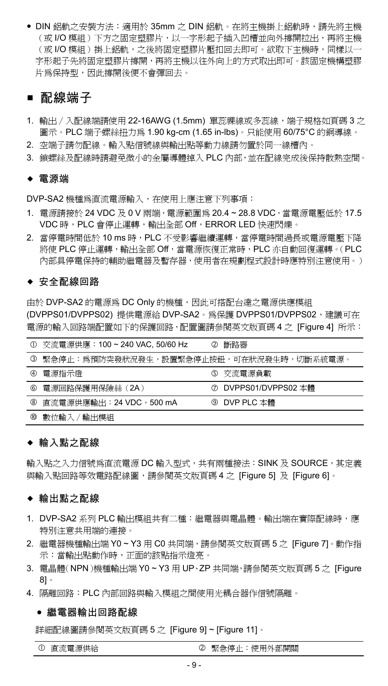DIN 鋁軌之安裝方法:適用於 35mm 之 DIN 鋁軌。在將主機掛上鋁軌時,請先將主機 (或 I/O 模組)下方之固定塑膠片,以一字形起子插入凹槽並向外撐開拉出,再將主機 (或 I/O 模組 ) 掛上鋁軌,之後將固定塑膠片壓扣回去即可。欲取下主機時,同樣以一 字形起子先將固定塑膠片撐開,再將主機以往外向上的方式取出即可。該固定機構塑膠 片為保持型,因此撐開後便不會彈回去。

### ■ 配線端子

- 1. 輸出∕入配線端請使用 22-16AWG (1.5mm) 單蕊祼線或多蕊線,端子規格如頁碼 3 之 圖示。PLC 端子螺絲扭力為 1.90 kg-cm (1.65 in-lbs)。只能使用 60/75°C 的銅導線。
- 2. 空端子請勿配線。輸入點信號線與輸出點等動力線請勿置於同一線槽內。
- 3. 鎖螺絲及配線時請避免微小的金屬導體掉入 PLC 內部,並在配線完成後保持散熱空間。

#### 電源端

DVP-SA2 機種為直流電源輸入,在使用上應注意下列事項:

- 1. 電源請接於 24 VDC 及 0 V 兩端, 電源範圍為 20.4~28.8 VDC, 當電源電壓低於 17.5 VDC 時, PLC 會停止運轉,輸出全部 Off, ERROR LED 快速閃爍。
- 2. 當停電時間低於 10 ms 時,PLC 不受影響繼續運轉,當停電時間過長或電源電壓下降 將使 PLC 停止運轉,輸出全部 Off,當電源恢復正常時,PLC 亦自動回復運轉。(PLC 內部具停電保持的輔助繼電器及暫存器,使用者在規劃程式設計時應特別注意使用。)

#### ◆ 安全配線回路

由於 DVP-SA2 的電源為 DC Only 的機種,因此可搭配台達之電源供應模組 (DVPPS01/DVPPS02) 提供電源給 DVP-SA2。為保護 DVPPS01/DVPPS02,建議可在 電源的輸入回路端配置如下的保護回路,配置圖請參閱英文版頁碼 4 之 [Figure 4] 所示:

| $\circ$ | 交流電源供應:100~240 VAC, 50/60 Hz            | Ø | 斷路器                  |
|---------|-----------------------------------------|---|----------------------|
| ◑       | 緊急停止:爲預防突發狀況發生,設置緊急停止按鈕,可在狀況發生時,切斷系統電源。 |   |                      |
| 4       | 雷源指示燈                                   |   | 5 交流電源負載             |
| ⑥       | 電源回路保護用保險絲 (2A)                         |   | ⑦ DVPPS01/DVPPS02 本體 |
|         | 8 直流電源供應輸出: 24 VDC, 500 mA              |   | ⑨ DVP PLC 本體         |
| 00      | 數位輸入 / 輸出模組                             |   |                      |

### 輸入點之配線

輸入點之入力信號為直流電源 DC 輸入型式,共有兩種接法: SINK 及 SOURCE, 其定義 與輸入點回路等效電路配線圖,請參閱英文版頁碼 4 之 [Figure 5] 及 [Figure 6]。

### 輸出點之配線

- 1. DVP-SA2 系列 PLC 輸出模組共有二種:繼電器與電晶體。輸出端在實際配線時,應 特別注意共用端的連接。
- 2. 繼電器機種輸出端 Y0 ~ Y3 用 C0 共同端,請參閱英文版頁碼 5 之 [Figure 7]。動作指 示:當輸出點動作時,正面的該點指示燈亮。
- 3. 電晶體(NPN)機種輸出端 Y0 ~ Y3 用 UP、ZP 共同端,請參閱英文版頁碼 5 之 [Figure 8]。
- 4. 隔離回路:PLC 內部回路與輸入模組之間使用光耦合器作信號隔離。

#### 繼電器輸出回路配線

詳細配線圖請參閱英文版頁碼 5 之 [Figure 9] ~ [Figure 11]。

① 直流電源供給 不可能 不可能 的复数复数 网络德国卡尔德国蒂尔德国蒂尔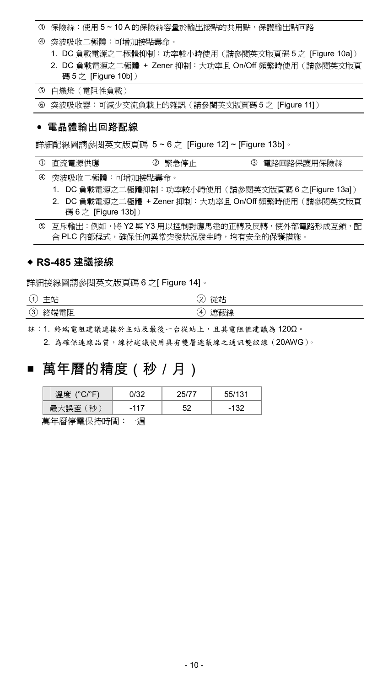#### 保險絲:使用 5 ~ 10 A 的保險絲容量於輸出接點的共用點,保護輸出點回路

- 突波吸收二極體:可增加接點壽命。
	- 1. DC 負載電源之二極體抑制:功率較小時使用(請參閱英文版頁碼 5 之 [Figure 10a])
	- 2. DC 負載電源之二極體 + Zener 抑制:大功率且 On/Off 頻繁時使用(請參閱英文版頁 碼 5 之 [Figure 10b])

白熾燈(電阻性負載)

突波吸收器:可減少交流負載上的雜訊(請參閱英文版頁碼 5 之 [Figure 11])

#### 電晶體輸出回路配線

詳細配線圖請參閱英文版頁碼 5 ~ 6 之 [Figure 12] ~ [Figure 13b]。

- ① 直流電源供應 ② 堅急停止 ③ 雷路回路保護用保險絲
- 突波吸收二極體:可增加接點壽命。
	- 1. DC 負載電源之二極體抑制:功率較小時使用(請參閱英文版頁碼 6 之[Figure 13a])
	- 2. DC 負載電源之二極體 + Zener 抑制:大功率且 On/Off 頻繁時使用(請參閱英文版頁 碼 6 之 [Figure 13b])

 互斥輸出:例如,將 Y2 與 Y3 用以控制對應馬達的正轉及反轉,使外部電路形成互鎖,配 合 PLC 內部程式,確保任何異常突發狀況發生時,均有安全的保護措施。

### **RS-485** 建議接線

詳細接線圖請參閱英文版頁碼 6 之[ Figure 14]。

| -<br>◡           | -<br>∸<br>$1.1 -$<br>-- | 4从天空*<br>$\sim$<br><b>SALE</b><br>ے<br>ίÆ'<br>◡ |
|------------------|-------------------------|-------------------------------------------------|
| -<br>$\sim$<br>3 | $^{~}$                  | Δ<br>÷Щ<br>∽                                    |

註:1. 終端電阻建議連接於主站及最後一台從站上,且其電阻值建議為 120Ω。

2. 為確保連線品質,線材建議使用具有雙層遮蔽線之通訊雙絞線(20AWG)。

## ■ 萬年曆的精度(秒/月)

| $(^{\circ}C/^{\circ}F$<br>æ<br>Fret |        |    | 55/121 |
|-------------------------------------|--------|----|--------|
| 秒                                   | $-117$ | г٥ |        |

萬年曆停電保持時間:一週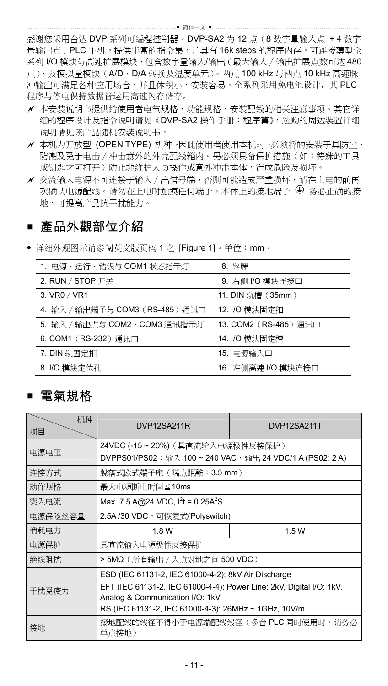感谢您采用台达 DVP 系列可编程控制器。DVP-SA2 为 12 点(8 数字量输入点 + 4 数字 量输出点)PLC 主机,提供丰富的指令集,并具有16k steps 的程序内存,可连接薄型全 系列 I/O 模块与高速扩展模块,包含数字量输入/输出(最大输入∕输出扩展点数可达 480 点)、及模拟量模块(A/D、D/A 转换及温度单元)。两点 100 kHz 与两点 10 kHz 高速脉 冲输出可满足各种应用场合,并且体积小,安装容易。全系列采用免电池设计,其 PLC 程序与停电保持数据皆运用高速闪存储存。

- 本安装说明书提供给使用者电气规格、功能规格、安装配线的相关注意事项。其它详 细的程序设计及指令说明请见《DVP-SA2 操作手册:程序篇》,选购的周边装置详细 说明请见该产品随机安装说明书。
- ✔ 本机为开放型 (OPEN TYPE) 机种,因此使用者使用本机时,必须将的安装干具防尘、 防潮及免于电击∕冲击意外的外壳配线箱内。另必须具备保护措施(如:特殊的工具 或钥匙才可打开)防止非维护人员操作或意外冲击本体,造成危险及损坏。
- 交流输入电源不可连接于输入∕出信号端,否则可能造成严重损坏,请在上电的前再 次确认电源配线。请勿在上电时触摸任何端子。本体上的接地端子 ♥ 务必正确的接 地,可提高产品抗干扰能力。

## ■ 產品外觀部位介紹

详细外观图示请参阅英文版页码 1 之 [Figure 1]。单位:mm。

| 1. 电源、运行、错误与 COM1 状态指示灯         | 8. 铭牌                 |
|---------------------------------|-----------------------|
| 2. RUN / STOP 开关                | 9. 右侧 I/O 模块连接口       |
| 3. VR0 / VR1                    | 11. DIN 轨槽 (35mm)     |
| 4. 输入 / 输出端子与 COM3 (RS-485) 通讯口 | 12. I/O 模块固定扣         |
| 5. 输入 / 输出点与 COM2、COM3 通讯指示灯    | 13. COM2 (RS-485) 通讯口 |
| 6. COM1 (RS-232) 通讯口            | 14. I/O 模块固定槽         |
| 7. DIN 轨固定扣                     | 15. 电源输入口             |
| 8. I/O 模块定位孔                    | 16. 左侧高速 I/O 模块连接口    |

## ■ 電氣規格

| 机种<br>项目 | DVP12SA211R                                                                                                                                                                                                            | DVP12SA211T |  |  |  |  |
|----------|------------------------------------------------------------------------------------------------------------------------------------------------------------------------------------------------------------------------|-------------|--|--|--|--|
| 电源电压     | 24VDC (-15~20%) (具直流输入电源极性反接保护)<br>DVPPS01/PS02:输入 100~240 VAC,输出 24 VDC/1 A (PS02: 2 A)                                                                                                                               |             |  |  |  |  |
| 连接方式     | 脫落式欧式端子座 ( 端点距離:3.5 mm )                                                                                                                                                                                               |             |  |  |  |  |
| 动作规格     | 最大电源断电时间≤10ms                                                                                                                                                                                                          |             |  |  |  |  |
| 突入电流     | Max. 7.5 A@24 VDC, I <sup>2</sup> t = 0.25A <sup>2</sup> S                                                                                                                                                             |             |  |  |  |  |
| 电源保险丝容量  | 2.5A/30 VDC,可恢复式(Polyswitch)                                                                                                                                                                                           |             |  |  |  |  |
| 消耗电力     | 1.5 W<br>1.8 W                                                                                                                                                                                                         |             |  |  |  |  |
| 电源保护     | 具直流输入电源极性反接保护                                                                                                                                                                                                          |             |  |  |  |  |
| 绝缘阻抗     | > 5MΩ (所有输出 / 入点对地之间 500 VDC)                                                                                                                                                                                          |             |  |  |  |  |
| 干扰免疫力    | ESD (IEC 61131-2, IEC 61000-4-2): 8kV Air Discharge<br>EFT (IEC 61131-2, IEC 61000-4-4): Power Line: 2kV, Digital I/O: 1kV,<br>Analog & Communication I/O: 1kV<br>RS (IEC 61131-2, IEC 61000-4-3): 26MHz ~ 1GHz, 10V/m |             |  |  |  |  |
| 接地       | 接地配线的线径不得小于电源端配线线径(多台 PLC 同时使用时,请务必<br>单点接地)                                                                                                                                                                           |             |  |  |  |  |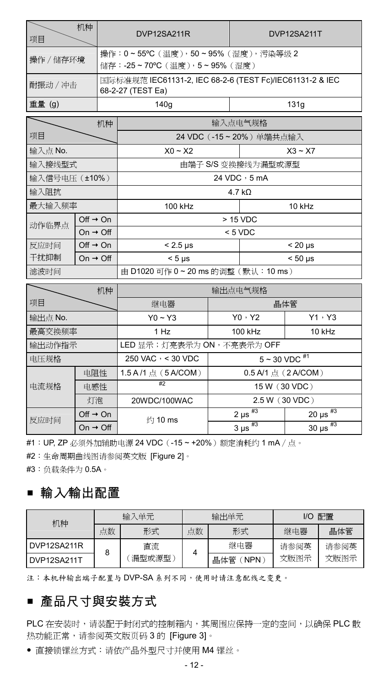| 项目                            | 机种                   | DVP12SA211R                                                                   |                                                                       | DVP12SA211T             |                          |  |
|-------------------------------|----------------------|-------------------------------------------------------------------------------|-----------------------------------------------------------------------|-------------------------|--------------------------|--|
| 操作 / 储存环境                     |                      |                                                                               | 操作: 0~55°C (温度), 50~95% (湿度), 污染等级 2<br>储存: -25~70°C (温度), 5~95% (湿度) |                         |                          |  |
| 耐振动 / 冲击                      |                      | 国际标准规范 IEC61131-2, IEC 68-2-6 (TEST Fc)/IEC61131-2 & IEC<br>68-2-27 (TEST Ea) |                                                                       |                         |                          |  |
| 重量 (g)                        |                      | 140g                                                                          |                                                                       |                         | 131q                     |  |
|                               | 机种                   |                                                                               | 输入点电气规格                                                               |                         |                          |  |
| 项目                            |                      |                                                                               |                                                                       | 24 VDC (-15~20%) 单端共点输入 |                          |  |
| 输入点 No.                       |                      | $X0 - X2$                                                                     |                                                                       |                         | $X3 - X7$                |  |
| 输入接线型式                        |                      |                                                                               |                                                                       | 由端子 S/S 变换接线为漏型或源型      |                          |  |
| 输入信号电压 (±10%)                 |                      |                                                                               |                                                                       | 24 VDC , 5 mA           |                          |  |
| 输入阻抗<br>$4.7 k\Omega$         |                      |                                                                               |                                                                       |                         |                          |  |
| 最大输入频率                        |                      | 100 kHz                                                                       |                                                                       | 10 kHz                  |                          |  |
| Off $\rightarrow$ On<br>动作临界点 |                      | > 15 VDC                                                                      |                                                                       |                         |                          |  |
| On $\rightarrow$ Off          |                      | $< 5$ VDC                                                                     |                                                                       |                         |                          |  |
| 反应时间                          | Off $\rightarrow$ On | $< 2.5 \mu s$                                                                 |                                                                       |                         | $< 20 \mu s$             |  |
| 干扰抑制                          | On $\rightarrow$ Off | $< 5$ us                                                                      |                                                                       |                         | $< 50$ us                |  |
| 滤波时间                          |                      | 由 D1020 可作 0~20 ms 的调整(默认: 10 ms)                                             |                                                                       |                         |                          |  |
| $\overline{\phantom{0}}$      | 机种                   | 输出点电气规格                                                                       |                                                                       |                         |                          |  |
| 项目                            |                      | 继电器                                                                           | 晶体管                                                                   |                         |                          |  |
| 输出点 No.                       |                      | $Y0 - Y3$                                                                     |                                                                       | Y0.4Y2                  | Y1, Y3                   |  |
| 最高交换频率                        |                      | 1 H <sub>Z</sub>                                                              | 100 kHz                                                               |                         | 10 kHz                   |  |
| 输出动作指示                        |                      | LED 显示;灯亮表示为 ON,不亮表示为 OFF                                                     |                                                                       |                         |                          |  |
| 电压规格                          |                      | 250 VAC > < 30 VDC                                                            | $5 \sim 30$ VDC $\overline{^{41}}$                                    |                         |                          |  |
| 电阻性                           |                      | 1.5 A /1 点 (5 A/COM)                                                          |                                                                       | 0.5 A/1 点 (2 A/COM)     |                          |  |
| 电流规格                          | 电感性                  | #2                                                                            |                                                                       | 15 W (30 VDC)           |                          |  |
|                               | 灯泡                   | 20WDC/100WAC                                                                  |                                                                       | 2.5 W (30 VDC)          |                          |  |
| 反应时间                          | Off $\rightarrow$ On | 约 10 ms                                                                       |                                                                       | $2 \mu s$ <sup>#3</sup> | 20 $\mu s$ <sup>#3</sup> |  |
|                               | On $\rightarrow$ Off |                                                                               |                                                                       | $3 \mu s$ <sup>#3</sup> | 30 $\mu s$ <sup>#3</sup> |  |

#1: UP, ZP 必须外加辅助电源 24 VDC (-15 ~ +20%) 额定消耗约 1 mA / 点。

#2:生命周期曲线图请参阅英文版 [Figure 2]。

#3:负载条件为 0.5A。

## 輸入∕輸出配置

| 机种          | 输入单元 |       |    | 输出单元                    | 配置<br>I/O |      |
|-------------|------|-------|----|-------------------------|-----------|------|
|             | 点数   | 形式    | 点数 | 形式                      | 继电器       | 晶体管  |
| DVP12SA211R | 8    | 直流    |    | 继电器                     | 请参阅英      | 请参阅英 |
| DVP12SA211T |      | 漏型或源型 |    | 晶体管<br>NPN <sup>®</sup> | 文版图示      | 文版图示 |

注:本机种输出端子配置与 DVP-SA 系列不同,使用时请注意配线之变更。

## ■ 產品尺寸與安裝方式

PLC 在安装时,请装配于封闭式的控制箱内,其周围应保持一定的空间,以确保 PLC 散 热功能正常,请参阅英文版页码 3 的 [Figure 3]。

直接锁镙丝方式:请依产品外型尺寸并使用 M4 镙丝。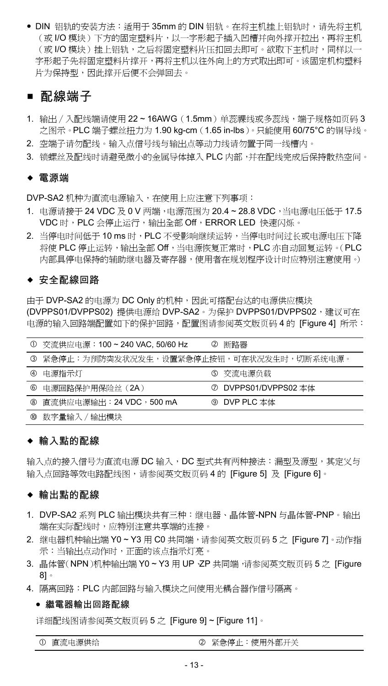● DIN 铝轨的安装方法: 适用于 35mm 的 DIN 铝轨。在将主机挂上铝轨时,请先将主机 (或 I/O 模块)下方的固定塑料片,以一字形起子插入凹槽并向外撑开拉出,再将主机 (或 I/O 模块 )挂上铝轨,之后将固定塑料片压扣回去即可。欲取下主机时,同样以一 字形起子先将固定塑料片撑开,再将主机以往外向上的方式取出即可。该固定机构塑料 片为保持型,因此撑开后便不会弹回去。

### ■ 配線端子

- 1. 输出/入配线端请使用 22~16AWG (1.5mm)单蕊裸线或多蕊线,端子规格如页码 3 之图示。PLC 端子螺丝扭力为 1.90 kg-cm(1.65 in-lbs)。只能使用 60/75°C 的铜导线。
- 2. 空端子请勿配线。输入点信号线与输出点等动力线请勿置于同一线槽内。
- 3. 锁螺丝及配线时请避免微小的金属导体掉入 PLC 内部,并在配线完成后保持散热空间。

### 電源端

DVP-SA2 机种为直流电源输入,在使用上应注意下列事项:

- 1. 电源请接于 24 VDC 及 0 V 两端,电源范围为 20.4 ~ 28.8 VDC,当电源电压低于 17.5 VDC 时, PLC 会停止运行,输出全部 Off, ERROR LED 快速闪烁。
- 2. 当停电时间低于 10 ms 时,PLC 不受影响继续运转,当停电时间讨长或电源电压下降 将使 PLC 停止运转,输出全部 Off,当电源恢复正常时,PLC 亦自动回复运转。(PLC 内部具停电保持的辅助继电器及寄存器,使用者在规划程序设计时应特别注意使用。)

### ◆ 安全配線回路

由于 DVP-SA2 的电源为 DC Only 的机种,因此可搭配台达的电源供应模块 (DVPPS01/DVPPS02) 提供电源给 DVP-SA2。为保护 DVPPS01/DVPPS02,建议可在 电源的输入回路端配置如下的保护回路,配置图请参阅英文版页码 4 的 [Figure 4] 所示:

| ⊕           | 交流供应电源:100~240 VAC, 50/60 Hz            | Ø | 断路器                  |
|-------------|-----------------------------------------|---|----------------------|
| ⊚           | 紧急停止:为预防突发状况发生,设置紧急停止按钮,可在状况发生时,切断系统电源。 |   |                      |
| $\circledA$ | 电源指示灯                                   |   | 6 交流电源负载             |
| 6           | 电源回路保护用保险丝 (2A)                         |   | ⑦ DVPPS01/DVPPS02 本体 |
| (8)         | 直流供应电源输出:24 VDC,500 mA                  |   | ⑨ DVP PLC 本体         |
| 00          | 数字量输入 / 输出模块                            |   |                      |

### ◆ 輸入點的配線

输入点的接入信号为直流电源 DC 输入,DC 型式共有两种接法:漏型及源型,其定义与 输入点回路等效电路配线图,请参阅英文版页码 4 的 [Figure 5] 及 [Figure 6]。

#### ◆ 輸出點的配線

- 1. DVP-SA2 系列 PLC 输出模块共有三种:继电器、晶体管-NPN 与晶体管-PNP。输出 端在实际配线时,应特别注意共享端的连接。
- 2. 继电器机种输出端 Y0 ~ Y3 用 C0 共同端,请参阅英文版页码 5 之 [Figure 7]。动作指 示:当输出点动作时,正面的该点指示灯亮。
- 3. 晶体管(NPN)机种输出端 Y0 ~ Y3 用 UP、ZP 共同端,请参阅英文版页码 5 之 [Figure 8]。
- 4. 隔离回路:PLC 内部回路与输入模块之间使用光耦合器作信号隔离。

#### 繼電器輸出回路配線

详细配线图请参阅英文版页码 5 之 [Figure 9] ~ [Figure 11]。

| $\circ$ | 直流电源供给 |  |
|---------|--------|--|
|         |        |  |

直流电源供给 紧急停止:使用外部开关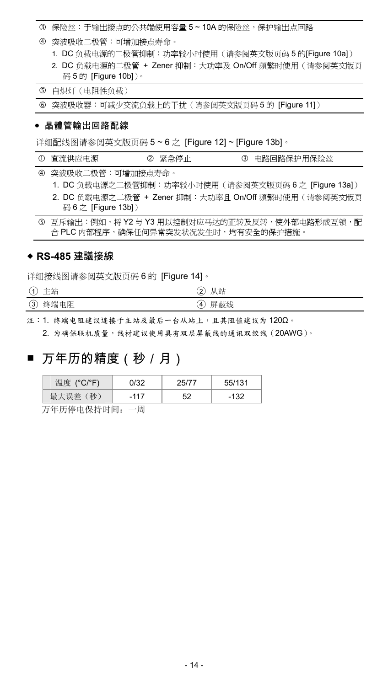### 3 保险丝:于输出接点的公共端使用容量 5~10A 的保险丝,保护输出点回路

- 突波吸收二极管:可增加接点寿命。
	- 1. DC 负载电源的二极管抑制:功率较小时使用(请参阅英文版页码 5 的[Figure 10a])
	- 2. DC 负载电源的二极管 + Zener 抑制:大功率及 On/Off 频繁时使用(请参阅英文版页 码 5 的 [Figure 10b])。

白炽灯(电阻性负载)

突波吸收器:可减少交流负载上的干扰(请参阅英文版页码 5 的 [Figure 11])

#### 晶體管輸出回路配線

详细配线图请参阅英文版页码 5 ~ 6 之 [Figure 12] ~ [Figure 13b]。

|  | ① 直流供应电源 |  | 2 紧急停止 |  | 3 电路回路保护用保险丝 |
|--|----------|--|--------|--|--------------|
|--|----------|--|--------|--|--------------|

突波吸收二极管:可增加接点寿命。

- 1. DC 负载电源之二极管抑制:功率较小时使用(请参阅英文版页码 6 之 [Figure 13a])
- 2. DC 负载电源之二极管 + Zener 抑制:大功率且 On/Off 频繁时使用(请参阅英文版页 码 6 之 [Figure 13b])

5 互斥输出:例如,将 Y2 与 Y3 用以控制对应马达的正转及反转,使外部电路形成互锁,配 合 PLC 内部程序,确保任何异常突发状况发生时,均有安全的保护措施。

### **RS-485** 建議接線

详细接线图请参阅英文版页码 6 的 [Figure 14]。

| a bandar | 2. L           |
|----------|----------------|
| ٠        | $^{2}$         |
|          | YY.            |
| 土粕       | く 立白           |
| ◡        | ◡              |
| -        | 屏蔽线            |
| 终端电阻     | $\overline{4}$ |
| 3)       | ◡              |

注: 1. 终端电阻建议连接于主站及最后一台从站上,且其阻值建议为 120Ω。

2. 为确保联机质量,线材建议使用具有双层屏蔽线的通讯双绞线(20AWG)。

## ■ 万年历的精度(秒/月)

| (种)<br>一大门装件 | .117<br>۰ | 50 | 132 |
|--------------|-----------|----|-----|

万年历停电保持时间:一周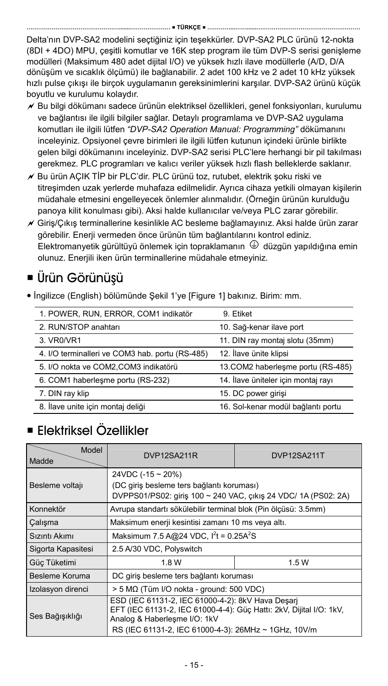Delta'nın DVP-SA2 modelini seçtiğiniz için teşekkürler. DVP-SA2 PLC ürünü 12-nokta (8DI + 4DO) MPU, çeşitli komutlar ve 16K step program ile tüm DVP-S serisi genişleme modülleri (Maksimum 480 adet dijital I/O) ve yüksek hızlı ilave modüllerle (A/D, D/A dönüşüm ve sıcaklık ölçümü) ile bağlanabilir. 2 adet 100 kHz ve 2 adet 10 kHz yüksek hızlı pulse çıkışı ile birçok uygulamanın gereksinimlerini karşılar. DVP-SA2 ürünü küçük boyutlu ve kurulumu kolaydır.

- $\not$  Bu bilgi dökümanı sadece ürünün elektriksel özellikleri, genel fonksiyonları, kurulumu ve bağlantısı ile ilgili bilgiler sağlar. Detaylı programlama ve DVP-SA2 uygulama komutları ile ilgili lütfen *"DVP-SA2 Operation Manual: Programming"* dökümanını inceleyiniz. Opsiyonel çevre birimleri ile ilgili lütfen kutunun içindeki ürünle birlikte gelen bilgi dökümanını inceleyiniz. DVP-SA2 serisi PLC'lere herhangi bir pil takılması gerekmez. PLC programları ve kalıcı veriler yüksek hızlı flash belleklerde saklanır.
- Bu ürün AÇIK TİP bir PLC'dir. PLC ürünü toz, rutubet, elektrik şoku riski ve titreşimden uzak yerlerde muhafaza edilmelidir. Ayrıca cihaza yetkili olmayan kişilerin müdahale etmesini engelleyecek önlemler alınmalıdır. (Örneğin ürünün kurulduğu panoya kilit konulması gibi). Aksi halde kullanıcılar ve/veya PLC zarar görebilir.
- Giriş/Çıkış terminallerine kesinlikle AC besleme bağlamayınız. Aksi halde ürün zarar görebilir. Enerji vermeden önce ürünün tüm bağlantılarını kontrol ediniz.  $E$ lektromanyetik gürültüyü önlemek için topraklamanın  $\bigcirc$  düzgün yapıldığına emin olunuz. Enerjili iken ürün terminallerine müdahale etmeyiniz.

# Ürün Görünüşü

İngilizce (English) bölümünde Şekil 1'ye [Figure 1] bakınız. Birim: mm.

| 1. POWER, RUN, ERROR, COM1 indikatör            | 9. Etiket                           |
|-------------------------------------------------|-------------------------------------|
| 2. RUN/STOP anahtarı                            | 10. Sağ-kenar ilave port            |
| 3. VR0/VR1                                      | 11. DIN ray montaj slotu (35mm)     |
| 4. I/O terminalleri ve COM3 hab. portu (RS-485) | 12. İlave ünite klipsi              |
| 5. I/O nokta ve COM2, COM3 indikatörü           | 13.COM2 haberleşme portu (RS-485)   |
| 6. COM1 haberlesme portu (RS-232)               | 14. İlave üniteler için montaj rayı |
| 7. DIN ray klip                                 | 15. DC power girisi                 |
| 8. İlave unite için montaj deliği               | 16. Sol-kenar modül bağlantı portu  |

# Elektriksel Özellikler

| Model<br>Madde     | DVP12SA211R                                                                                                                                                                                                      | DVP12SA211T |  |  |  |
|--------------------|------------------------------------------------------------------------------------------------------------------------------------------------------------------------------------------------------------------|-------------|--|--|--|
| Besleme voltajı    | 24VDC (-15 ~ 20%)<br>(DC giriş besleme ters bağlantı koruması)<br>DVPPS01/PS02: giris 100 ~ 240 VAC, cıkış 24 VDC/ 1A (PS02: 2A)                                                                                 |             |  |  |  |
| Konnektör          | Avrupa standartı sökülebilir terminal blok (Pin ölçüsü: 3.5mm)                                                                                                                                                   |             |  |  |  |
| Calışma            | Maksimum enerji kesintisi zamanı 10 ms veya altı.                                                                                                                                                                |             |  |  |  |
| Sızıntı Akımı      | Maksimum 7.5 A@24 VDC, I <sup>2</sup> t = 0.25A <sup>2</sup> S                                                                                                                                                   |             |  |  |  |
| Sigorta Kapasitesi | 2.5 A/30 VDC, Polyswitch                                                                                                                                                                                         |             |  |  |  |
| Güç Tüketimi       | 1.5W<br>1.8 W                                                                                                                                                                                                    |             |  |  |  |
| Besleme Koruma     | DC giriş besleme ters bağlantı koruması                                                                                                                                                                          |             |  |  |  |
| Izolasyon direnci  | > 5 MΩ (Tüm I/O nokta - ground: 500 VDC)                                                                                                                                                                         |             |  |  |  |
| Ses Bağışıklığı    | ESD (IEC 61131-2, IEC 61000-4-2): 8kV Hava Desarj<br>EFT (IEC 61131-2, IEC 61000-4-4): Güç Hattı: 2kV, Dijital I/O: 1kV,<br>Analog & Haberlesme I/O: 1kV<br>RS (IEC 61131-2, IEC 61000-4-3): 26MHz ~ 1GHz, 10V/m |             |  |  |  |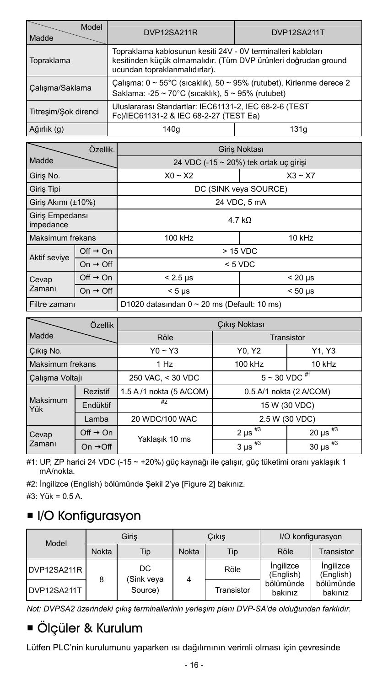| Model<br>Madde                                                                                                                                                                 | DVP12SA211R                                                                                                                    | DVP12SA211T |  |  |
|--------------------------------------------------------------------------------------------------------------------------------------------------------------------------------|--------------------------------------------------------------------------------------------------------------------------------|-------------|--|--|
| Topraklama kablosunun kesiti 24V - 0V terminalleri kabloları<br>kesitinden küçük olmamalıdır. (Tüm DVP ürünleri doğrudan ground<br>Topraklama<br>ucundan topraklanmalıdırlar). |                                                                                                                                |             |  |  |
| Calışma/Saklama                                                                                                                                                                | Calisma: 0 ~ 55°C (sicaklik), 50 ~ 95% (rutubet), Kirlenme derece 2<br>Saklama: -25 ~ 70°C (sıcaklık), $5 \sim 95\%$ (rutubet) |             |  |  |
| Titresim/Sok direnci                                                                                                                                                           | Uluslararası Standartlar: IEC61131-2, IEC 68-2-6 (TEST<br>Fc)/IEC61131-2 & IEC 68-2-27 (TEST Ea)                               |             |  |  |
| Ağırlık (g)                                                                                                                                                                    | 140a                                                                                                                           | 131q        |  |  |

|                                      | Özellik.             |                                                  | Giris Noktası              |  |  |
|--------------------------------------|----------------------|--------------------------------------------------|----------------------------|--|--|
| Madde                                |                      | 24 VDC (-15 ~ 20%) tek ortak uç girişi           |                            |  |  |
| Giris No.                            |                      | $X0 - X2$                                        | $X3 \sim X7$               |  |  |
| Giris Tipi                           |                      | DC (SINK veya SOURCE)                            |                            |  |  |
| Giriş Akımı (±10%)                   |                      | 24 VDC, 5 mA                                     |                            |  |  |
| Giris Empedansı<br>impedance         |                      | 4.7 kO                                           |                            |  |  |
| Maksimum frekans                     |                      | 100 kHz<br>10 kHz                                |                            |  |  |
| Off $\rightarrow$ On<br>Aktif seviye |                      | > 15 VDC                                         |                            |  |  |
| On $\rightarrow$ Off                 |                      | $< 5$ VDC                                        |                            |  |  |
| Cevap                                | Off $\rightarrow$ On | $< 2.5$ µs                                       | $< 20 \mu s$               |  |  |
| Zamanı                               | On $\rightarrow$ Off | $< 5 \mu s$                                      | $< 50 \text{ }\mu\text{s}$ |  |  |
| Filtre zamanı                        |                      | D1020 datasından $0 \sim 20$ ms (Default: 10 ms) |                            |  |  |

| Özellik          |                      | Cıkış Noktası                                       |                         |                          |  |
|------------------|----------------------|-----------------------------------------------------|-------------------------|--------------------------|--|
| Madde            |                      | Röle                                                | Transistor              |                          |  |
| Cikis No.        |                      | $Y0 - Y3$                                           | Y0, Y2                  | Y1, Y3                   |  |
| Maksimum frekans |                      | 1 Hz                                                | 100 kHz<br>10 kHz       |                          |  |
| Çalışma Voltajı  |                      | 250 VAC, < 30 VDC                                   | $5 \sim 30$ VDC $^{#1}$ |                          |  |
|                  | Rezistif             | 1.5 A /1 nokta (5 A/COM)<br>0.5 A/1 nokta (2 A/COM) |                         |                          |  |
| Maksimum<br>Yük  | Endüktif             | #2                                                  | 15 W (30 VDC)           |                          |  |
|                  | Lamba                | 20 WDC/100 WAC                                      |                         | 2.5 W (30 VDC)           |  |
| Cevap<br>Zamanı  | Off $\rightarrow$ On | Yaklaşık 10 ms                                      | $2 \mu s$ <sup>#3</sup> | 20 $\mu$ s $^{#3}$       |  |
|                  | On $\rightarrow$ Off |                                                     | $3 \mu s$ <sup>#3</sup> | 30 $\mu s$ <sup>#3</sup> |  |

#1: UP, ZP harici 24 VDC (-15 ~ +20%) güç kaynağı ile çalışır, güç tüketimi oranı yaklaşık 1 mA/nokta.

#2: İngilizce (English) bölümünde Şekil 2'ye [Figure 2] bakınız.

#3: Yük = 0.5 A.

## **II/O Konfigurasyon**

| Model       | Giris        |                  | Cikis |            | I/O konfigurasyon      |                        |
|-------------|--------------|------------------|-------|------------|------------------------|------------------------|
|             | <b>Nokta</b> | Tip              | Nokta | Tip        | Röle                   | Transistor             |
| DVP12SA211R | 8            | DC<br>(Sink veya | 4     | Röle       | Ingilizce<br>(English) | Ingilizce<br>(English) |
| DVP12SA211T |              | Source)          |       | Transistor | bölümünde<br>bakınız   | bölümünde<br>bakınız   |

*Not: DVPSA2 üzerindeki çıkış terminallerinin yerleşim planı DVP-SA'de olduğundan farklıdır.* 

# Ölçüler & Kurulum

Lütfen PLC'nin kurulumunu yaparken ısı dağılımının verimli olması için çevresinde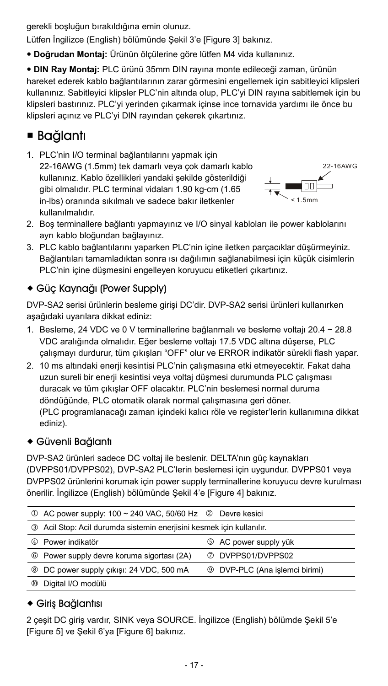gerekli boşluğun bırakıldığına emin olunuz.

Lütfen İngilizce (English) bölümünde Şekil 3'e [Figure 3] bakınız.

**Doğrudan Montaj:** Ürünün ölçülerine göre lütfen M4 vida kullanınız.

 **DIN Ray Montaj:** PLC ürünü 35mm DIN rayına monte edileceği zaman, ürünün hareket ederek kablo bağlantılarının zarar görmesini engellemek için sabitleyici klipsleri kullanınız. Sabitleyici klipsler PLC'nin altında olup, PLC'yi DIN rayına sabitlemek için bu klipsleri bastırınız. PLC'yi yerinden çıkarmak içinse ince tornavida yardımı ile önce bu klipsleri açınız ve PLC'yi DIN rayından çekerek çıkartınız.

## ■ Bağlantı

1. PLC'nin I/O terminal bağlantılarını yapmak için 22-16AWG (1.5mm) tek damarlı veya çok damarlı kablo kullanınız. Kablo özellikleri yandaki şekilde gösterildiği gibi olmalıdır. PLC terminal vidaları 1.90 kg-cm (1.65 in-lbs) oranında sıkılmalı ve sadece bakır iletkenler kullanılmalıdır.



- 2. Boş terminallere bağlantı yapmayınız ve I/O sinyal kabloları ile power kablolarını ayrı kablo bloğundan bağlayınız.
- 3. PLC kablo bağlantılarını yaparken PLC'nin içine iletken parçacıklar düşürmeyiniz. Bağlantıları tamamladıktan sonra ısı dağılımın sağlanabilmesi için küçük cisimlerin PLC'nin içine düşmesini engelleyen koruyucu etiketleri çıkartınız.

## Güç Kaynağı (Power Supply)

DVP-SA2 serisi ürünlerin besleme girişi DC'dir. DVP-SA2 serisi ürünleri kullanırken aşağıdaki uyarılara dikkat ediniz:

- 1. Besleme, 24 VDC ve 0 V terminallerine bağlanmalı ve besleme voltajı 20.4 ~ 28.8 VDC aralığında olmalıdır. Eğer besleme voltajı 17.5 VDC altına düşerse, PLC çalışmayı durdurur, tüm çıkışları "OFF" olur ve ERROR indikatör sürekli flash yapar.
- 2. 10 ms altındaki enerji kesintisi PLC'nin çalışmasına etki etmeyecektir. Fakat daha uzun sureli bir enerji kesintisi veya voltaj düşmesi durumunda PLC çalışması duracak ve tüm çıkışlar OFF olacaktır. PLC'nin beslemesi normal duruma döndüğünde, PLC otomatik olarak normal çalışmasına geri döner. (PLC programlanacağı zaman içindeki kalıcı röle ve register'lerin kullanımına dikkat ediniz).

## Güvenli Bağlantı

DVP-SA2 ürünleri sadece DC voltaj ile beslenir. DELTA'nın güç kaynakları (DVPPS01/DVPPS02), DVP-SA2 PLC'lerin beslemesi için uygundur. DVPPS01 veya DVPPS02 ürünlerini korumak için power supply terminallerine koruyucu devre kurulması önerilir. İngilizce (English) bölümünde Şekil 4'e [Figure 4] bakınız.

|                | $\circled{1}$ AC power supply: 100 ~ 240 VAC, 50/60 Hz $\circled{2}$ Devre kesici |                                       |
|----------------|-----------------------------------------------------------------------------------|---------------------------------------|
| டு             | Acil Stop: Acil durumda sistemin enerjisini kesmek için kullanılır.               |                                       |
| ⊕              | Power indikatör                                                                   | 5 AC power supply yük                 |
| $\circledcirc$ | Power supply devre koruma sigortası (2A)                                          | <b>2 DVPPS01/DVPPS02</b>              |
| $\circledR$    | DC power supply çıkışı: 24 VDC, 500 mA                                            | <b>9 DVP-PLC (Ana islemci birimi)</b> |
| œ              | Digital I/O modülü                                                                |                                       |

## Giriş Bağlantısı

2 çeşit DC giriş vardır, SINK veya SOURCE. İngilizce (English) bölümde Şekil 5'e [Figure 5] ve Şekil 6'ya [Figure 6] bakınız.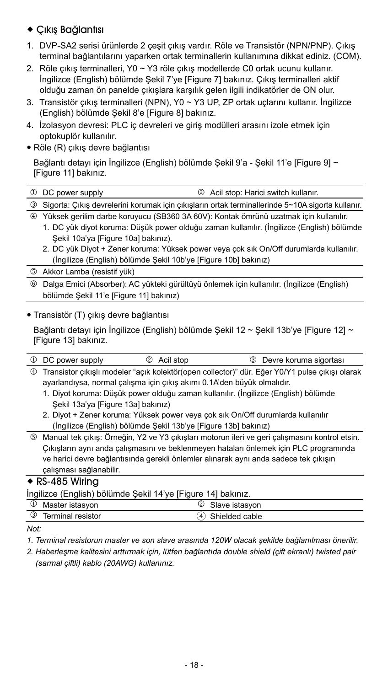### Çıkış Bağlantısı

- 1. DVP-SA2 serisi ürünlerde 2 çeşit çıkış vardır. Röle ve Transistör (NPN/PNP). Çıkış terminal bağlantılarını yaparken ortak terminallerin kullanımına dikkat ediniz. (COM).
- 2. Röle çıkış terminalleri, Y0 ~ Y3 röle çıkış modellerde C0 ortak ucunu kullanır. İngilizce (English) bölümde Şekil 7'ye [Figure 7] bakınız. Çıkış terminalleri aktif olduğu zaman ön panelde çıkışlara karşılık gelen ilgili indikatörler de ON olur.
- 3. Transistör çıkış terminalleri (NPN), Y0 ~ Y3 UP, ZP ortak uçlarını kullanır. İngilizce (English) bölümde Şekil 8'e [Figure 8] bakınız.
- 4. İzolasyon devresi: PLC iç devreleri ve giriş modülleri arasını izole etmek için optokuplör kullanılır.
- Röle (R) çıkış devre bağlantısı

Bağlantı detayı için İngilizce (English) bölümde Şekil 9'a - Şekil 11'e [Figure 9] ~ [Figure 11] bakınız.

| 1 DC power supply                                                                      | 2 Acil stop: Harici switch kullanır.                                                               |
|----------------------------------------------------------------------------------------|----------------------------------------------------------------------------------------------------|
|                                                                                        | 3 Sigorta: Cıkış devrelerini korumak için çıkışların ortak terminallerinde 5~10A sigorta kullanır. |
| 4 Yüksek gerilim darbe koruyucu (SB360 3A 60V): Kontak ömrünü uzatmak için kullanılır. |                                                                                                    |

- 1. DC yük diyot koruma: Düşük power olduğu zaman kullanılır. (İngilizce (English) bölümde Sekil 10a'ya [Figure 10a] bakınız).
- 2. DC yük Diyot + Zener koruma: Yüksek power veya çok sık On/Off durumlarda kullanılır. (İngilizce (English) bölümde Şekil 10b'ye [Figure 10b] bakınız)
- Akkor Lamba (resistif yük)
- Dalga Emici (Absorber): AC yükteki gürültüyü önlemek için kullanılır. (İngilizce (English) bölümde Şekil 11'e [Figure 11] bakınız)

### Transistör (T) çıkış devre bağlantısı

Bağlantı detayı için İngilizce (English) bölümde Şekil 12 ~ Şekil 13b'ye [Figure 12] ~ [Figure 13] bakınız.

| $\omega$       | DC power supply                                                                                | Acil stop<br>② | 3 Devre koruma sigortası                                                             |  |  |
|----------------|------------------------------------------------------------------------------------------------|----------------|--------------------------------------------------------------------------------------|--|--|
| $^{\circledR}$ | Transistor çıkışlı modeler "açık kolektör(open collector)" dür. Eğer Y0/Y1 pulse çıkışı olarak |                |                                                                                      |  |  |
|                | ayarlandıysa, normal çalışma için çıkış akımı 0.1A'den büyük olmalıdır.                        |                |                                                                                      |  |  |
|                |                                                                                                |                | 1. Diyot koruma: Düşük power olduğu zaman kullanılır. (İngilizce (English) bölümde   |  |  |
|                | Sekil 13a'ya [Figure 13a] bakınız)                                                             |                |                                                                                      |  |  |
|                | 2. Diyot + Zener koruma: Yüksek power veya çok sık On/Off durumlarda kullanılır                |                |                                                                                      |  |  |
|                | (İngilizce (English) bölümde Şekil 13b'ye [Figure 13b] bakınız)                                |                |                                                                                      |  |  |
| ை              | Manual tek çıkış: Örneğin, Y2 ve Y3 çıkışları motorun ileri ve geri çalışmasını kontrol etsin. |                |                                                                                      |  |  |
|                | Çıkışların aynı anda çalışmasını ve beklenmeyen hataları önlemek için PLC programında          |                |                                                                                      |  |  |
|                |                                                                                                |                | ve harici devre bağlantısında gerekli önlemler alınarak aynı anda sadece tek çıkışın |  |  |

#### çalışması sağlanabilir.  $\overline{\bullet}$  RS-485 Wiring

İngilizce (English) bölümde Sekil 14'ye [Figure 14] bakınız.

|               | inginzed (English) boldmad och i 17 yd p igard 17 bannie. |                     |  |
|---------------|-----------------------------------------------------------|---------------------|--|
|               | <sup>1</sup> Master istasyon                              | Slave istasyon      |  |
| $\circled{3}$ | <b>Terminal resistor</b>                                  | Shielded cable<br>4 |  |
| .             |                                                           |                     |  |

*Not:* 

- *1. Terminal resistorun master ve son slave arasında 120W olacak şekilde bağlanılması önerilir.*
- *2. Haberleşme kalitesini arttırmak için, lütfen bağlantıda double shield (çift ekranlı) twisted pair (sarmal çiftli) kablo (20AWG) kullanınız.*